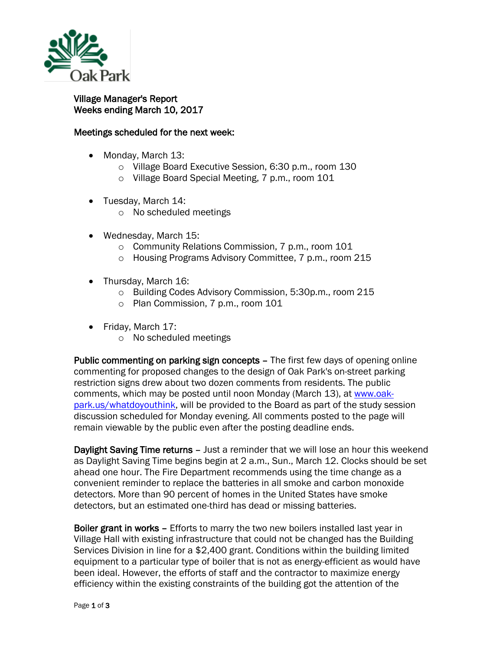

## Village Manager's Report Weeks ending March 10, 2017

## Meetings scheduled for the next week:

- Monday, March 13:
	- o Village Board Executive Session, 6:30 p.m., room 130
	- o Village Board Special Meeting, 7 p.m., room 101
- Tuesday, March 14:
	- o No scheduled meetings
- Wednesday, March 15:
	- o Community Relations Commission, 7 p.m., room 101
	- o Housing Programs Advisory Committee, 7 p.m., room 215
- Thursday, March 16:
	- o Building Codes Advisory Commission, 5:30p.m., room 215
	- o Plan Commission, 7 p.m., room 101
- Friday, March 17:
	- o No scheduled meetings

Public commenting on parking sign concepts – The first few days of opening online commenting for proposed changes to the design of Oak Park's on-street parking restriction signs drew about two dozen comments from residents. The public comments, which may be posted until noon Monday (March 13), at [www.oak](http://www.oak-park.us/whatdoyouthink)[park.us/whatdoyouthink,](http://www.oak-park.us/whatdoyouthink) will be provided to the Board as part of the study session discussion scheduled for Monday evening. All comments posted to the page will remain viewable by the public even after the posting deadline ends.

Daylight Saving Time returns – Just a reminder that we will lose an hour this weekend as Daylight Saving Time begins begin at 2 a.m., Sun., March 12. Clocks should be set ahead one hour. The Fire Department recommends using the time change as a convenient reminder to replace the batteries in all smoke and carbon monoxide detectors. More than 90 percent of homes in the United States have smoke detectors, but an estimated one-third has dead or missing batteries.

Boiler grant in works - Efforts to marry the two new boilers installed last year in Village Hall with existing infrastructure that could not be changed has the Building Services Division in line for a \$2,400 grant. Conditions within the building limited equipment to a particular type of boiler that is not as energy-efficient as would have been ideal. However, the efforts of staff and the contractor to maximize energy efficiency within the existing constraints of the building got the attention of the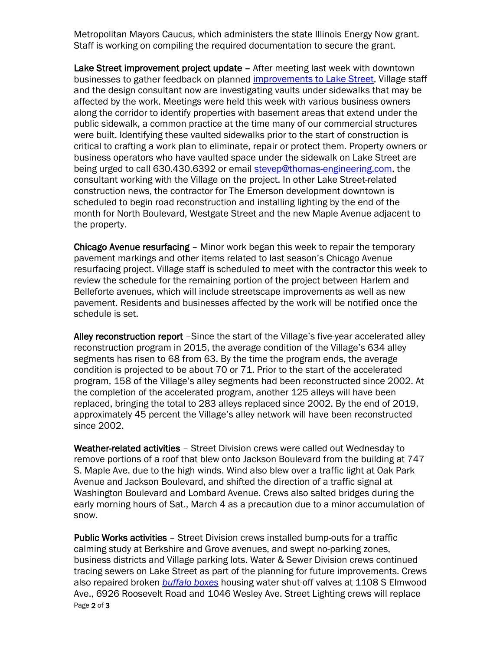Metropolitan Mayors Caucus, which administers the state Illinois Energy Now grant. Staff is working on compiling the required documentation to secure the grant.

Lake Street improvement project update - After meeting last week with downtown businesses to gather feedback on planned [improvements to Lake Street,](http://www.oak-park.us/village-services/planning/projects/lake-street-improvements) Village staff and the design consultant now are investigating vaults under sidewalks that may be affected by the work. Meetings were held this week with various business owners along the corridor to identify properties with basement areas that extend under the public sidewalk, a common practice at the time many of our commercial structures were built. Identifying these vaulted sidewalks prior to the start of construction is critical to crafting a work plan to eliminate, repair or protect them. Property owners or business operators who have vaulted space under the sidewalk on Lake Street are being urged to call 630.430.6392 or email [stevep@thomas-engineering.com,](mailto:stevep@thomas-engineering.com) the consultant working with the Village on the project. In other Lake Street-related construction news, the contractor for The Emerson development downtown is scheduled to begin road reconstruction and installing lighting by the end of the month for North Boulevard, Westgate Street and the new Maple Avenue adjacent to the property.

Chicago Avenue resurfacing – Minor work began this week to repair the temporary pavement markings and other items related to last season's Chicago Avenue resurfacing project. Village staff is scheduled to meet with the contractor this week to review the schedule for the remaining portion of the project between Harlem and Belleforte avenues, which will include streetscape improvements as well as new pavement. Residents and businesses affected by the work will be notified once the schedule is set.

Alley reconstruction report -Since the start of the Village's five-year accelerated alley reconstruction program in 2015, the average condition of the Village's 634 alley segments has risen to 68 from 63. By the time the program ends, the average condition is projected to be about 70 or 71. Prior to the start of the accelerated program, 158 of the Village's alley segments had been reconstructed since 2002. At the completion of the accelerated program, another 125 alleys will have been replaced, bringing the total to 283 alleys replaced since 2002. By the end of 2019, approximately 45 percent the Village's alley network will have been reconstructed since 2002.

Weather-related activities - Street Division crews were called out Wednesday to remove portions of a roof that blew onto Jackson Boulevard from the building at 747 S. Maple Ave. due to the high winds. Wind also blew over a traffic light at Oak Park Avenue and Jackson Boulevard, and shifted the direction of a traffic signal at Washington Boulevard and Lombard Avenue. Crews also salted bridges during the early morning hours of Sat., March 4 as a precaution due to a minor accumulation of snow.

Page 2 of 3 Public Works activities – Street Division crews installed bump-outs for a traffic calming study at Berkshire and Grove avenues, and swept no-parking zones, business districts and Village parking lots. Water & Sewer Division crews continued tracing sewers on Lake Street as part of the planning for future improvements. Crews also repaired broken *[buffalo boxes](https://en.wikipedia.org/wiki/Buffalo_Box)* housing water shut-off valves at 1108 S Elmwood Ave., 6926 Roosevelt Road and 1046 Wesley Ave. Street Lighting crews will replace